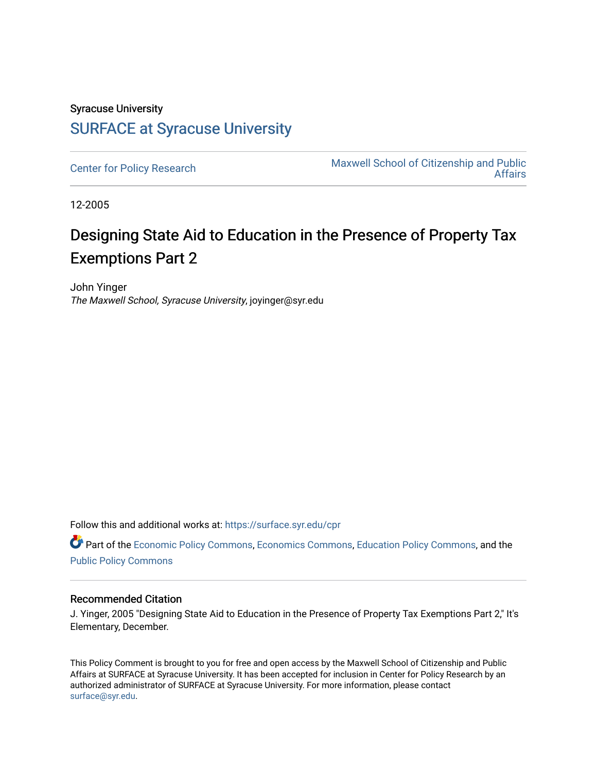## Syracuse University [SURFACE at Syracuse University](https://surface.syr.edu/)

[Center for Policy Research](https://surface.syr.edu/cpr) Maxwell School of Citizenship and Public [Affairs](https://surface.syr.edu/maxwell) 

12-2005

## Designing State Aid to Education in the Presence of Property Tax Exemptions Part 2

John Yinger The Maxwell School, Syracuse University, joyinger@syr.edu

Follow this and additional works at: [https://surface.syr.edu/cpr](https://surface.syr.edu/cpr?utm_source=surface.syr.edu%2Fcpr%2F308&utm_medium=PDF&utm_campaign=PDFCoverPages) 

Part of the [Economic Policy Commons](http://network.bepress.com/hgg/discipline/1025?utm_source=surface.syr.edu%2Fcpr%2F308&utm_medium=PDF&utm_campaign=PDFCoverPages), [Economics Commons,](http://network.bepress.com/hgg/discipline/340?utm_source=surface.syr.edu%2Fcpr%2F308&utm_medium=PDF&utm_campaign=PDFCoverPages) [Education Policy Commons](http://network.bepress.com/hgg/discipline/1026?utm_source=surface.syr.edu%2Fcpr%2F308&utm_medium=PDF&utm_campaign=PDFCoverPages), and the [Public Policy Commons](http://network.bepress.com/hgg/discipline/400?utm_source=surface.syr.edu%2Fcpr%2F308&utm_medium=PDF&utm_campaign=PDFCoverPages)

## Recommended Citation

J. Yinger, 2005 "Designing State Aid to Education in the Presence of Property Tax Exemptions Part 2," It's Elementary, December.

This Policy Comment is brought to you for free and open access by the Maxwell School of Citizenship and Public Affairs at SURFACE at Syracuse University. It has been accepted for inclusion in Center for Policy Research by an authorized administrator of SURFACE at Syracuse University. For more information, please contact [surface@syr.edu.](mailto:surface@syr.edu)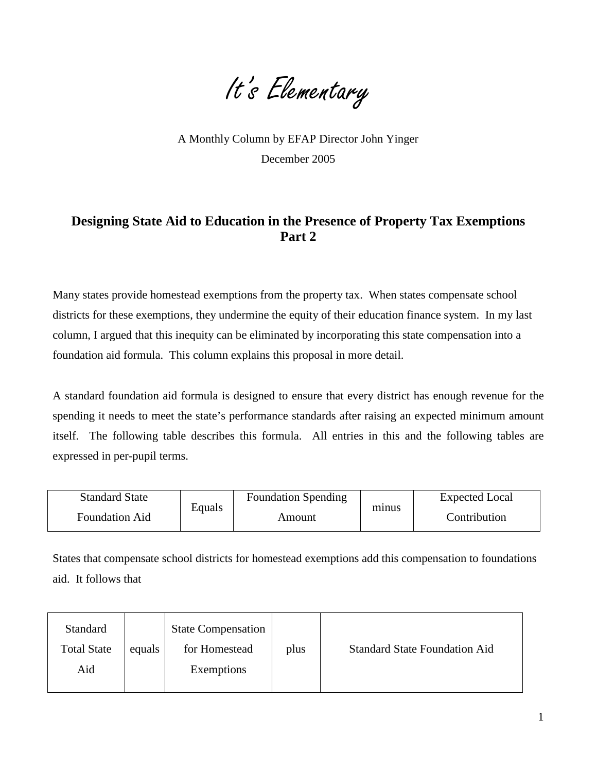It's Elementary

A Monthly Column by EFAP Director John Yinger December 2005

## **Designing State Aid to Education in the Presence of Property Tax Exemptions Part 2**

Many states provide homestead exemptions from the property tax. When states compensate school districts for these exemptions, they undermine the equity of their education finance system. In my last column, I argued that this inequity can be eliminated by incorporating this state compensation into a foundation aid formula. This column explains this proposal in more detail.

A standard foundation aid formula is designed to ensure that every district has enough revenue for the spending it needs to meet the state's performance standards after raising an expected minimum amount itself. The following table describes this formula. All entries in this and the following tables are expressed in per-pupil terms.

| <b>Standard State</b> | Equals | <b>Foundation Spending</b> | minus | Expected Local |  |
|-----------------------|--------|----------------------------|-------|----------------|--|
| <b>Foundation Aid</b> |        | Amount                     |       | Contribution   |  |

States that compensate school districts for homestead exemptions add this compensation to foundations aid. It follows that

| Standard<br><b>Total State</b><br>Aid | equals | <b>State Compensation</b><br>for Homestead<br>Exemptions | plus | <b>Standard State Foundation Aid</b> |
|---------------------------------------|--------|----------------------------------------------------------|------|--------------------------------------|
|---------------------------------------|--------|----------------------------------------------------------|------|--------------------------------------|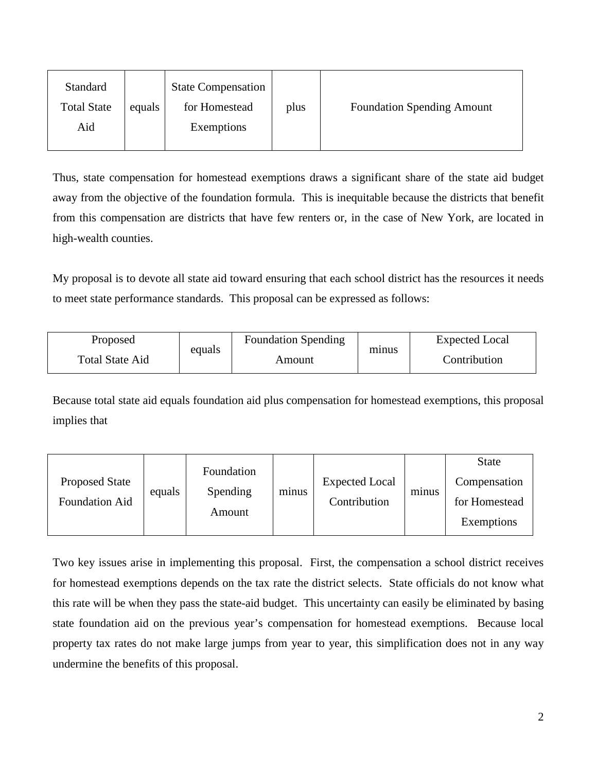| Standard<br><b>Total State</b><br>Aid | equals | <b>State Compensation</b><br>for Homestead<br>Exemptions | plus | <b>Foundation Spending Amount</b> |
|---------------------------------------|--------|----------------------------------------------------------|------|-----------------------------------|
|                                       |        |                                                          |      |                                   |

Thus, state compensation for homestead exemptions draws a significant share of the state aid budget away from the objective of the foundation formula. This is inequitable because the districts that benefit from this compensation are districts that have few renters or, in the case of New York, are located in high-wealth counties.

My proposal is to devote all state aid toward ensuring that each school district has the resources it needs to meet state performance standards. This proposal can be expressed as follows:

| Proposed | equals<br>Total State Aid | <b>Foundation Spending</b> |       | <b>Expected Local</b> |  |
|----------|---------------------------|----------------------------|-------|-----------------------|--|
|          |                           | Amount                     | minus | Contribution          |  |

Because total state aid equals foundation aid plus compensation for homestead exemptions, this proposal implies that

| <b>Proposed State</b><br>Foundation Aid | equals | Foundation<br>Spending<br>Amount | minus | <b>Expected Local</b><br>Contribution | minus | <b>State</b><br>Compensation<br>for Homestead<br>Exemptions |
|-----------------------------------------|--------|----------------------------------|-------|---------------------------------------|-------|-------------------------------------------------------------|
|                                         |        |                                  |       |                                       |       |                                                             |

Two key issues arise in implementing this proposal. First, the compensation a school district receives for homestead exemptions depends on the tax rate the district selects. State officials do not know what this rate will be when they pass the state-aid budget. This uncertainty can easily be eliminated by basing state foundation aid on the previous year's compensation for homestead exemptions. Because local property tax rates do not make large jumps from year to year, this simplification does not in any way undermine the benefits of this proposal.